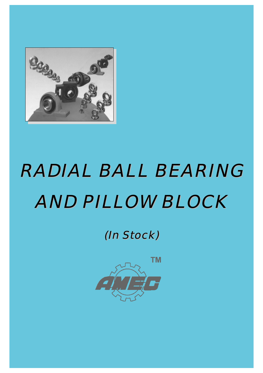

# RADIAL BALL BEARING RADIAL BALL BEARING AND PILLOW BLOCK AND PILLOW BLOCK

(In Stock) (In Stock)

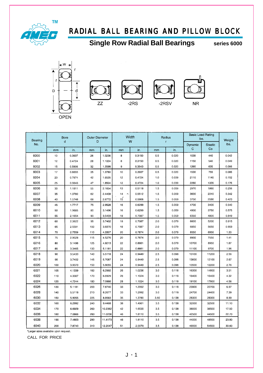

F

### RADIAL BALL BEARING AND PILLOW BLOCK

**Single Row Radial Ball Bearings Series 6000** 





ZZ





| searing |     | <b>Bore</b><br>d | <b>Outer Diameter</b><br>D |         | W                      | Width  | Radius | $\mathbf{r}$ | <b>Basic Load Rating</b><br>lbs. |                      | Weight |
|---------|-----|------------------|----------------------------|---------|------------------------|--------|--------|--------------|----------------------------------|----------------------|--------|
| No.     | mm  | in.              | mm                         | in.     | mm                     | in.    | mm     | in.          | Dynamic<br>С                     | <b>Stastic</b><br>Co | lbs.   |
| 6000    | 10  | 0.3937           |                            | 1.0236  | 8                      | 0.3150 | 0.5    | 0.020        | 1030                             | 440                  | 0.042  |
|         |     |                  | 26                         |         |                        |        |        |              |                                  |                      |        |
| 6001    | 12  | 0.4724           | 28                         | 1.1024  | 8                      | 0.3150 | 0.5    | 0.020        | 1150                             | 540                  | 0.049  |
| 6002    | 15  | 0.5906           | 32                         | 1.2598  | 9                      | 0.3543 | 0.5    | 0.020        | 1260                             | 635                  | 0.066  |
| 6003    | 17  | 0.6693           | 35                         | 1.3780  | 10                     | 0.3937 | 0.5    | 0.020        | 1530                             | 755                  | 0.086  |
| 6004    | 20  | 0.7874           | 42                         | 1.6535  | 12                     | 0.4724 | 1.0    | 0.039        | 2110                             | 1140                 | 0.152  |
| 6005    | 25  | 0.9843           | 47                         | 1.8504  | 12                     | 0.4724 | 1.0    | 0.039        | 2260                             | 1320                 | 0.176  |
| 6006    | 30  | 1.1811           | 55                         | 2.1654  | 13                     | 0.5118 | 1.5    | 0.059        | 2970                             | 1860                 | 0.256  |
| 6007    | 35  | 1.3780           | 62                         | 2.4409  | 14<br>$\sigma_{\rm c}$ | 0.5512 | 1.5    | 0.059        | 3600                             | 2310                 | 0.342  |
| 6008    | 40  | 1.5748           | 68                         | 2.6772  | 15                     | 0.5906 | 1.5    | 0.059        | 3750                             | 2590                 | 0.423  |
| 6009    | 45  | 1.7717           | 75                         | 2.9528  | 16                     | 0.6299 | 1.5    | 0.059        | 4700                             | 3400                 | 0.540  |
| 6010    | 50  | 1.9685           | 80                         | 3.1496  | 16                     | 0.6299 | 1.5    | 0.059        | 4900                             | 3750                 | 0.575  |
| 6011    | 55  | 2.1654           | 90                         | 3.5433  | 18                     | 0.7087 | 1.5    | 0.059        | 6350                             | 4800                 | 0.849  |
| 6012    | 60  | 2.3622           | 95                         | 3.7402  | 18                     | 0.7087 | 2.0    | 0.079        | 6600                             | 5200                 | 0.915  |
| 6013    | 65  | 2.5591           | 100                        | 3.9370  | 18                     | 0.7087 | 2.0    | 0.079        | 6850                             | 5650                 | 0.959  |
| 6014    | 70  | 2.7559           | 110                        | 4.3307  | 20                     | 0.7874 | 2.0    | 0.079        | 8550                             | 6950                 | 1.33   |
| 6015    | 75  | 2.9528           | 115                        | 4.5276  | 20                     | 0.7874 | 2.0    | 0.079        | 8900                             | 7550                 | 1.41   |
| 6016    | 80  | 3.1496           | 125                        | 4.9213  | 22                     | 0.8661 | 2.0    | 0.079        | 10700                            | 8950                 | 1.87   |
| 6017    | 85  | 3.3465           | 130                        | 5.1181  | 22                     | 0.8661 | 2.0    | 0.079        | 11100                            | 9700                 | 1.96   |
| 6018    | 90  | 3.5433           | 140                        | 5.5118  | 24                     | 0.9449 | 2.5    | 0.098        | 13100                            | 11200                | 2.56   |
| 6019    | 95  | 3.7402           | 145                        | 5.7087  | 24                     | 0.9449 | 2.5    | 0.098        | 13600                            | 12100                | 2.67   |
| 6020    | 100 | 3.9370           | 150                        | 5.9055  | 24                     | 0.9449 | 2.5    | 0.098        | 13500                            | 12200                | 2.76   |
| 6021    | 105 | 4.1339           | 160                        | 6.2992  | 26                     | 1.0236 | 3.0    | 0.118        | 16300                            | 14800                | 3.51   |
| 6022    | 110 | 4.3307           | 170                        | 6.6929  | 28                     | 1.1024 | 3.0    | 0.118        | 18400                            | 16400                | 4.32   |
| 6024    | 120 | 4.7244           | 180                        | 7.0866  | 28                     | 1.1024 | 3.0    | 0.118        | 19100                            | 17800                | 4.56   |
| 6026    | 130 | 5.1181           | 200                        | 7.8740  | 33                     | 1.2992 | 3.0    | 0.118        | 23900                            | 22700                | 6.97   |
| 6028    | 140 | 5.5118           | 210                        | 8.2677  | 33                     | 1.2992 | 3.0    | 0.118        | 24700                            | 24400                | 7.39   |
| 6030    | 150 | 5.9055           | 225                        | 8.8583  | 35                     | 1.3780 | 3.50   | 0.138        | 28300                            | 28300                | 8.99   |
| 6032    | 160 | 6.2992           | 240                        | 9.4488  | 38                     | 1.4961 | 3.5    | 0.138        | 32000                            | 32500                | 11.10  |
| 6034    | 170 | 6.6929           | 260                        | 10.2362 | 42                     | 1.6535 | 3.5    | 0.138        | 38000                            | 38500                | 17.50  |

6040 200 \*Larger sizes available upon request.

180

190

7.0866

7.4803

7.8740

280

290

310

11.0236

11.4173

12.2047

46

46

51

CALL FOR PRICE

6036

6038

1.8110

1.8110

2.0079

 $3.5\,$ 

 $3.5$ 

 $3.5\,$ 

0.138

0.138

0.138

42500

44000

49000

44500

48500

54500

22.70

23.80

30.60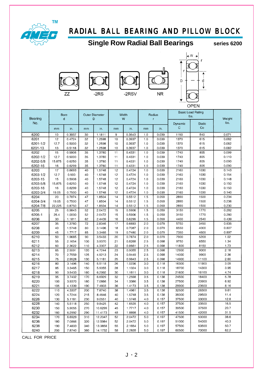

**NR** 

### **Single Row Radial Ball Bearings Series 6200**









| Bearing  |        | Bore<br>d |     | Outer Diameter<br>D |    | Width<br>W |     | Radius<br>r. |                        | <b>Basic Load Rating</b><br>lbs. | Weight |
|----------|--------|-----------|-----|---------------------|----|------------|-----|--------------|------------------------|----------------------------------|--------|
| No.      | mm     | in.       | mm  | in.                 | mm | in.        | mm  | in.          | Dynamic<br>$\mathsf C$ | <b>Static</b><br>Co              | lbs.   |
| 6200     | 10     | 0.3937    | 30  | 1.1811              | 9  | 0.3543     | 1.0 | 0.039        | 1150                   | 540                              | 0.071  |
| 6201     | 12     | 0.4724    | 32  | 1.2598              | 10 | 0.3937     | 1.0 | 0.039        | 1370                   | 615                              | 0.082  |
| 6201-1/2 | 12.7   | 0.5000    | 32  | 1.2598              | 10 | 0.3937     | 1.0 | 0.039        | 1370                   | 615                              | 0.082  |
| 6201-13  | 13     | 0.5118    | 32  | 1.2598              | 10 | 0.3937     | 1.0 | 0.039        | 1370                   | 615                              | 0.082  |
| 6202     | 15     | 0.5906    | 35  | 1.3780              | 11 | 0.4331     | 1.0 | 0.039        | 1740                   | 805                              | 0.099  |
| 6202-1/2 | 12.7   | 0.5000    | 35  | 1.3780              | 11 | 0.4331     | 1.0 | 0.039        | 1740                   | 805                              | 0.110  |
| 6202-5/8 | 15.875 | 0.6250    | 35  | 1.3780              | 11 | 0.4331     | 1.0 | 0.039        | 1740                   | 805                              | 0.090  |
| 6202-16  | 16     | 0.6299    | 35  | 1.3780              | 11 | 0.4331     | 1.0 | 0.039        | 1740                   | 805                              | 0.090  |
| 6203     | 17     | 0.6693    | 40  | 1.5748              | 12 | 0.4724     | 1.0 | 0.039        | 2160                   | 1030                             | 0.143  |
| 6203-1/2 | 12.7   | 0.500     | 40  | 1.5748              | 12 | 0.4724     | 1.0 | 0.039        | 2160                   | 1030                             | 0.154  |
| 6203-15  | 15     | 0.5906    | 40  | 1.5748              | 12 | 0.4724     | 1.0 | 0.039        | 2160                   | 1030                             | 0.148  |
| 6203-5/8 | 15.875 | 0.6250    | 40  | 1.5748              | 12 | 0.4724     | 1.0 | 0.039        | 2160                   | 1030                             | 0.150  |
| 6203-16  | 16     | 0.6299    | 40  | 1.5748              | 12 | 0.4724     | 1.0 | 0.039        | 2160                   | 1030                             | 0.150  |
| 6203-3/4 | 19.05  | 0.7500    | 40  | 1.5748              | 12 | 0.4724     | 1.0 | 0.039        | 2160                   | 1030                             | 0.140  |
| 6204     | 20     | 0.7874    | 47  | 1.8504              | 14 | 0.5512     | 1.5 | 0.059        | 2890                   | 1500                             | 0.234  |
| 6204-3/4 | 19.05  | 0.7500    | 47  | 1.8504              | 14 | 0.5512     | 1.5 | 0.059        | 2890                   | 1500                             | 0.236  |
| 6204-7/8 | 22.225 | 0.8750    | 47  | 1.8504              | 14 | 0.5512     | 1.5 | 0.059        | 2890                   | 1500                             | 0.230  |
| 6205     | 25     | 0.9843    | 52  | 2.0472              | 15 | 0.5906     | 1.5 | 0.059        | 3150                   | 1770                             | 0.282  |
| 6205-1   | 25.4   | 1.0000    | 52  | 2.0472              | 15 | 0.5906     | 1.5 | 0.059        | 3150                   | 1770                             | 0.280  |
| 6206     | 30     | 1.1811    | 62  | 2.4409              | 16 | 0.6299     | 1.5 | 0.059        | 4400                   | 2540                             | 0.439  |
| 6207     | 35     | 1.3780    | 72  | 2.8346              | 17 | 0.6693     | 2.0 | 0.079        | 5750                   | 3450                             | 0.635  |
| 6208     | 40     | 1.5748    | 80  | 3.1496              | 18 | 0.7087     | 2.0 | 0.079        | 6550                   | 4000                             | 0.807  |
| 6209     | 45     | 1.7717    | 85  | 3.3465              | 19 | 0.7480     | 2.0 | 0.079        | 7350                   | 4600                             | 0.897  |
| 6210     | 50     | 1.9685    | 90  | 3.5433              | 20 | 0.7874     | 2.0 | 0.079        | 7900                   | 5200                             | 1.02   |
| 6211     | 55     | 2.1654    | 100 | 3.9370              | 21 | 0.8268     | 2.5 | 0.098        | 9750                   | 6550                             | 1.34   |
| 6212     | 60     | 2.3622    | 110 | 4.3307              | 22 | 0.8661     | 2.5 | 0.098        | 11800                  | 8150                             | 1.73   |
| 6213     | 65     | 2.5591    | 120 | 4.7244              | 23 | 0.9055     | 2.5 | 0.098        | 12900                  | 9000                             | 2.18   |
| 6214     | 70     | 2.7559    | 125 | 4.9213              | 24 | 0.9449     | 2.5 | 0.098        | 14000                  | 9900                             | 2.36   |
| 6215     | 75     | 2.9528    | 130 | 5.1181              | 25 | 0.9843     | 2.5 | 0.098        | 14900                  | 11100                            | 2.60   |
| 6216     | 80     | 3.1496    | 140 | 5.5118              | 26 | 1.0236     | 3.0 | 0.118        | 16300                  | 11900                            | 3.09   |
| 6217     | 85     | 3.3465    | 150 | 5.9055              | 28 | 1.1024     | 3.0 | 0.118        | 18700                  | 14300                            | 3.95   |
| 6218     | 90     | 3.5433    | 160 | 6.2992              | 30 | 1.1811     | 3.0 | 0.118        | 21600                  | 16100                            | 4.74   |
| 6219     | 95     | 3.7402    | 170 | 6.6929              | 32 | 1.2598     | 3.5 | 0.138        | 24500                  | 18400                            | 5.78   |
| 6220     | 100    | 3.9370    | 180 | 7.0866              | 34 | 1.3386     | 3.5 | 0.138        | 27500                  | 20900                            | 6.92   |
| 6221     | 105    | 4.1339    | 190 | 7.4803              | 36 | 1.4173     | 3.5 | 0.138        | 29900                  | 23500                            | 8.16   |
| 6222     | 110    | 4.3307    | 200 | 7.8740              | 38 | 1.4961     | 3.5 | 0.138        | 32500                  | 26300                            | 9.61   |
| 6224     | 120    | 4.7244    | 215 | 8.4646              | 40 | 1.5748     | 3.5 | 0.138        | 35000                  | 29500                            | 11.4   |
| 6226     | 130    | 5.1181    | 230 | 9.0551              | 40 | 1.5748     | 4.0 | 0.157        | 37500                  | 33000                            | 12.8   |
| 6228     | 140    | 5.5118    | 250 | 9.8425              | 42 | 1.6535     | 4.0 | 0.157        | 37500                  | 33500                            | 16.5   |
| 6230     | 150    | 5.9055    | 270 | 10.6299             | 45 | 1.7717     | 4.0 | 0.157        | 39500                  | 37500                            | 20.7   |
| 6232     | 160    | 6.2992    | 290 | 11.4173             | 48 | 1.8898     | 4.0 | 0.157        | 41500                  | 42000                            | 31.5   |
| 6234     | 170    | 6.6929    | 310 | 12.2047             | 52 | 2.0472     | 5.0 | 0.197        | 47500                  | 50000                            | 38.6   |
| 6236     | 180    | 7.0866    | 320 | 12.5984             | 52 | 2.0472     | 5.0 | 0.197        | 51000                  | 54000                            | 40.3   |
| 6238     | 190    | 7.4803    | 340 | 13.3858             | 55 | 2.1654     | 5.0 | 0.197        | 57500                  | 63500                            | 50.7   |
| 6240     | 200    | 7.8740    | 360 | 14.1732             | 58 | 2.2835     | 5.0 | 0.197        | 60500                  | 70000                            | 62.2   |

CALL FOR PRICE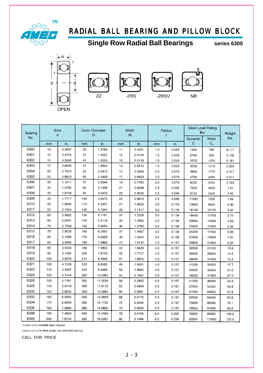

### **Single Row Radial Ball Bearings Series 6300**





77





| Bearing<br>No. | Bore<br>d |        |     | <b>Outer Diameter</b><br>Ð |    | Width<br>W |     | Radius<br>r | lbs.         | <b>Basic Load Rating</b>     | Weight<br>lbs. |
|----------------|-----------|--------|-----|----------------------------|----|------------|-----|-------------|--------------|------------------------------|----------------|
|                | mm        | in.    | mm  | in.                        | mm | in.        | mm  | in.         | Dynamic<br>C | <b>Static</b><br>$C_{\circ}$ |                |
| 6300           | 10        | 0.3937 | 35  | 1.3780                     | 11 | 0.4331     | 1.0 | 0.039       | 1840         | 785                          | 0.117          |
| 6301           | 12        | 0.4724 | 37  | 1.4567                     | 12 | 0.4724     | 1.5 | 0.059       | 2180         | 940                          | 0.132          |
| 6302           | 15        | 0.5906 | 42  | 1.6535                     | 13 | 0.5118     | 1.5 | 0.059       | 2570         | 1220                         | 0.181          |
| 6303           | 17        | 0.6693 | 47  | 1.8504                     | 14 | 0.5512     | 1.5 | 0.059       | 3050         | 1470                         | 0.254          |
| 6304           | 20        | 0.7874 | 52  | 2.0472                     | 15 | 0.5906     | 2.0 | 0.079       | 3600         | 1770                         | 0.317          |
| 6305           | 25        | 0.9843 | 62  | 2.4409                     | 17 | 0.6693     | 2.0 | 0.079       |              |                              |                |
| 6306           |           |        |     |                            |    |            |     |             | 4750         | 2460                         | 0.511          |
| 6307           | 30        | 1.1811 | 72  | 2.8346                     | 19 | 0.7480     | 2.0 | 0.079       | 6000         | 3400                         | 0.763          |
|                | 35        | 1.3780 | 80  | 3.1496                     | 21 | 0.8268     | 2.5 | 0.098       | 7500         | 4300                         | 1.01           |
| 6308           | 40        | 1.5748 | 90  | 3.5433                     | 23 | 0.9055     | 2.5 | 0.098       | 9150         | 5400                         | 1.40           |
| 6309           | 45        | 1.7717 | 100 | 3.9370                     | 25 | 0.9843     | 2.5 | 0.098       | 11900        | 7200                         | 1.84           |
| 6310           | 50        | 1.9685 | 110 | 4.3307                     | 27 | 1.0630     | 3.0 | 0.118       | 13900        | 8600                         | 2.36           |
| 6311           | 55        | 2.1654 | 120 | 4.7244                     | 29 | 1.1417     | 3.0 | 0.118       | 16100        | 10100                        | 3.02           |
| 6312           | 60        | 2.3622 | 130 | 5.1181                     | 31 | 1.2205     | 3.5 | 0.138       | 18400        | 11700                        | 3.75           |
| 6313           | 65        | 2.5591 | 140 | 5.5118                     | 33 | 1.2992     | 3.5 | 0.138       | 20800        | 13400                        | 4.59           |
| 6314           | 70        | 2.7559 | 150 | 5.9055                     | 35 | 1.3780     | 3.5 | 0.138       | 23400        | 15300                        | 5.56           |
| 6315           | 75        | 2.9526 | 160 | 6.2992                     | 37 | 1.4567     | 3.5 | 0.138       | 25500        | 17400                        | 6.66           |
| 6316           | 80        | 3.1496 | 170 | 6.6929                     | 39 | 1.5354     | 3.5 | 0.138       | 27600        | 19500                        | 7.91           |
| 6317           | 85        | 3.3465 | 180 | 7.0866                     | 41 | 1.6142     | 4.0 | 0.157       | 29800        | 21800                        | 9.33           |
| 6318           | 90        | 3.5433 | 190 | 7.4803                     | 43 | 1.6929     | 4.0 | 0.157       | 32000        | 24100                        | 10.8           |
| 6319           | 95        | 3.7402 | 200 | 7.8740                     | 45 | 1.7717     | 4.0 | 0.157       | 34500        | 26600                        | 12.5           |
| 6320           | 100       | 3.9370 | 215 | 8.4646                     | 47 | 1.8504     | 4.0 | 0.157       | 39000        | 31500                        | 15.4           |
| 6321           | 105       | 4.1339 | 225 | 8.8583                     | 49 | 1.9291     | 4.0 | 0.157       | 41500        | 34500                        | 17.7           |
| 6322           | 110       | 4.3307 | 240 | 9.4488                     | 50 | 1.9685     | 4.0 | 0.157       | 40000        | 40500                        | 21.0           |
| 6324           | 120       | 4.7244 | 260 | 10.2362                    | 55 | 2.1654     | 4.0 | 0.157       | 46500        | 41500                        | 27.3           |
| 6326           | 130       | 5.1181 | 280 | 11.0236                    | 58 | 2.2835     | 5.0 | 0.197       | 51500        | 48000                        | 33.3           |
| 6328           | 140       | 5.5118 | 300 | 11.8110                    | 62 | 2.4409     | 5.0 | 0.197       | 57000        | 55500                        | 40.8           |
| 6330           | 150       | 5.9055 | 320 | 12.5984                    | 65 | 2.5591     | 5.0 | 0.197       | 61500        | 63500                        | 57.8           |
| 6332           | 160       | 6.2992 | 340 | 13.3858                    | 68 | 2.6772     | 5.0 | 0.197       | 62500        | 64500                        | 63.9           |
| 6334           | 170       | 6.6929 | 360 | 14.1732                    | 72 | 2.8346     | 5.0 | 0.197       | 73500        | 80000                        | 76.1           |
| 6336           | 180       | 7.0866 | 380 | 14.9606                    | 75 | 2.9528     | 5.0 | 0.197       | 79500        | 91500                        | 93.5           |
| 6338           | 190       | 7.4803 | 400 | 15.7480                    | 78 | 3.0709     | 6.0 | 0.236       | 79500        | 93000                        | 108.0          |
| 6340           | 200       | 7.8740 | 420 | 16.5354                    | 80 | 3.1496     | 6.0 | 0.236       | 92000        | 113000                       | 1220           |

\*Larger sizes available upon request.

please call us for other single row radial ball bearing.

CALL FOR PRICE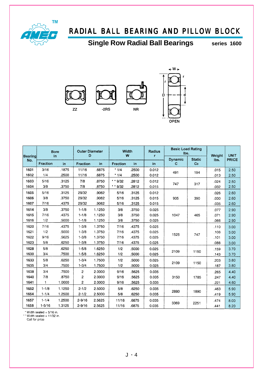

**OPEN** 

**Single Row Radial Ball Bearings Series 1600** 



| <b>Bearing</b> | <b>Bore</b><br>in |        | <b>Outer Diameter</b><br>D |        | Width<br>W |       | <b>Radius</b><br>r | <b>Basic Load Rating</b><br>lbs. |                     | Weight | <b>UNIT</b>  |
|----------------|-------------------|--------|----------------------------|--------|------------|-------|--------------------|----------------------------------|---------------------|--------|--------------|
| No.            | Fraction          | in     | Fraction                   | in     | Fraction   | in    | in.                | Dynamic<br>C                     | <b>Static</b><br>Co | Ibs.   | <b>PRICE</b> |
| 1601           | 3/16              | .1875  | 11/16                      | .6875  | $*1/4$     | .2500 | 0.012              |                                  |                     | .015   | 2.50         |
| 1602           | 1/4               | .2500  | 11/16                      | .6875  | $*1/4$     | .2500 | 0.012              | 491                              | 194                 | .013   | 2.50         |
| 1603           | 5/16              | .3125  | 7/8                        | .8750  | * * 9/32   | .2812 | 0.012              |                                  |                     | .024   | 2.50         |
| 1604           | 3/8               | .3750  | 7/8                        | .8750  | * * 9/32   | .2812 | 0.015              | 747                              | 317                 | .032   | 2.50         |
| 1605           | 5/16              | .3125  | 29/32                      | .9062  | 5/16       | .3125 | 0.012              |                                  |                     | .026   | 2.60         |
| 1606           | 3/8               | .3750  | 29/32                      | .9062  | 5/16       | .3125 | 0.015              | 935                              | 390                 | .030   | 2.60         |
| 1607           | 7/16              | .4375  | 29/32                      | .9062  | 5/16       | .3125 | 0.015              |                                  |                     | .035   | 2.60         |
| 1614           | 3/8               | .3750  | $1 - 1/8$                  | 1.1250 | 3/8        | .3750 | 0.025              |                                  |                     | .077   | 2.90         |
| 1615           | 7/16              | .4375  | $1 - 1/8$                  | 1.1250 | 3/8        | .3750 | 0.025              | 1047                             | 465                 | .071   | 2.90         |
| 1616           | 1/2               | .5000  | $1 - 1/8$                  | 1.1250 | 3/8        | .3750 | 0.025              |                                  |                     | .066   | 2.90         |
| 1620           | 7/16              | .4375  | $1 - 3/8$                  | 1.3750 | 7/16       | .4375 | 0.025              |                                  |                     | .110   | 3.00         |
| 1621           | 1/2               | .5000  | $1 - 3/8$                  | 1.3750 | 7/16       | .4375 | 0.025              |                                  |                     | .106   | 3.00         |
| 1622           | 9/16              | .5625  | $1 - 3/8$                  | 1.3750 | 7/16       | .4375 | 0.025              | 1525                             | 747                 | .101   | 3.00         |
| 1623           | 5/8               | .6250  | $1 - 3/8$                  | 1.3750 | 7/16       | .4375 | 0.025              |                                  |                     | .088   | 3.00         |
| 1628           | 5/8               | .6250  | $1 - 5/8$                  | 1.6250 | 1/2        | .5000 | 0.025              |                                  |                     | .159   | 3.70         |
| 1630           | 3/4               | .7500  | $1 - 5/8$                  | 1.6250 | 1/2        | .5000 | 0.025              | 2109                             | 1150                | .143   | 3.70         |
| 1633           | 5/8               | .6250  | $1 - 3/4$                  | 1.7500 | 1/2        | .5000 | 0.025              |                                  |                     | .203   | 3.80         |
| 1635           | 3/4               | .7500  | $1 - 3/4$                  | 1.7500 | 1/2        | .5000 | 0.025              | 2109                             | 1150                | .187   | 3.80         |
| 1638           | 3/4               | .7500  | $\overline{c}$             | 2.0000 | 9/16       | .5625 | 0.035              |                                  |                     | .265   | 4.40         |
| 1640           | 7/8               | .8750  | 2                          | 2.0000 | 9/16       | .5625 | 0.035              | 3150                             | 1785                | 247    | 4.40         |
| 1641           | 1                 | 1.0000 | 2                          | 2.0000 | 9/16       | .5625 | 0.035              |                                  |                     | .221   | 4.60         |
| 1652           | $1 - 1/8$         | 1.1250 | $2 - 1/2$                  | 2.5000 | 5/8        | .6250 | 0.035              |                                  |                     | .463   | 5.90         |
| 1654           | $1 - 1/4$         | 1.2500 | $2 - 1/2$                  | 2.5000 | 5/8        | .6250 | 0.035              | 2880                             | 1890                | .419   | 5.90         |
| 1657           | $1 - 1/4$         | 1.2500 | $2 - 9/16$                 | 2.5625 | 11/16      | .6875 | 0.035              |                                  |                     | .474   | 8.00         |
| 1658           | $1 - 5/16$        | 1.3125 | $2 - 9/16$                 | 2.5625 | 11/16      | .6875 | 0.035              | 3369                             | 2251                | .441   | 8.20         |

\* Width sealed =  $5/16$  in.<br>
\* Width sealed =  $11/32$  in.<br>
Call for price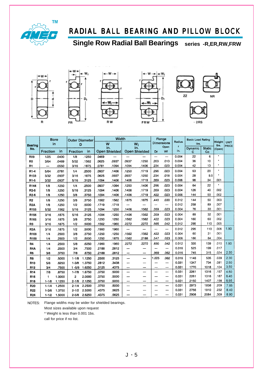

**Single Row Radial Ball Bearings series -R,ER,RW,FRW**











2RS

|                   | <b>Bore</b>              |        | <b>Outer Diameter</b> |        |       | Width                |       |                             | Flange            |            |                        | <b>Basic Load Rating</b> |                     |                |                             |
|-------------------|--------------------------|--------|-----------------------|--------|-------|----------------------|-------|-----------------------------|-------------------|------------|------------------------|--------------------------|---------------------|----------------|-----------------------------|
| Bearing           | in                       |        | D                     |        |       | W                    |       | W <sub>i</sub>              | <b>Dimensions</b> |            | Radius<br>$\mathbf{r}$ | Ibs.                     |                     | Weight<br>Ibs. | <b>UNIT</b><br><b>PRICE</b> |
| No.               | Fraction                 | in     | Fraction              | in     |       | in.<br>Open Shielded |       | in.<br><b>Open Shielded</b> | Df                | Open<br>Wf | in.                    | <b>Dynamic</b><br>с      | <b>Static</b><br>Co | (Open)         |                             |
| R09               | 1/25                     | .0400  | 1/8                   | .1250  | .0469 |                      |       |                             | —                 | —          | 0.004                  | 22                       | 6                   |                |                             |
| R <sub>0</sub>    | 3/64                     | .0469  | 5/32                  | .1562  | .0625 | .0937                | .0937 | .1250                       | .203              | .013       | 0.004                  | 36                       | 10                  |                |                             |
| <b>R1</b>         | $\overline{\phantom{0}}$ | .0550  | 3/16                  | .1875  | .0781 | .1094                | .1094 | .1406                       | .234              | .023       | 0.004                  | 42                       | 13                  |                |                             |
| R1-4              | 5/64                     | .0781  | 1/4                   | .2500  | .0937 | .1406                | .1250 | .1719                       | .296              | .023       | 0.004                  | 63                       | 20                  | ٠              |                             |
| R133              | 3/32                     | .0937  | 3/16                  | .1875  | .0625 | .0937                | .0937 | .1250                       | .234              | .018       | 0.004                  | 28                       | 9.5                 | $\bullet$      |                             |
| R1-5              | 3/32                     | .0937  | 5/16                  | .3125  | .1094 | .1406                | .1406 | .1719                       | .359              | .023       | 0.006                  | 96                       | 34                  | .001           |                             |
| R144              | 1/8                      | .1250  | 1/4                   | .2500  | .0937 | .1094                | .1250 | .1406                       | .296              | .023       | 0.004                  | 64                       | 22                  | ٠              |                             |
| R <sub>2</sub> -5 | 1/8                      | .1250  | 5/16                  | .3125  | .1094 | .1406                | .1406 | .1719                       | .359              | .023       | 0.004                  | 126                      | 40                  | .002           |                             |
| R <sub>2-6</sub>  | 1/8                      | .1250  | 3/8                   | .3750  | .1094 | .1406                | .1406 | .1719                       | .422              | .023       | 0.006                  | 144                      | 50                  | .002           |                             |
| R <sub>2</sub>    | 1/8                      | .1250  | 3/8                   | .3750  | .1562 | .1562                | .1875 | .1875                       | .440              | .030       | 0.012                  | 144                      | 50                  | .003           |                             |
| R <sub>2</sub> A  | 1/8                      | .1250  | 1/2                   | .5000  | .1719 | .1719                | --    |                             | ---               | —          | 0.012                  | 258                      | 89                  | .007           |                             |
| R155              | 5/32                     | .1562  | 5/16                  | .3125  | .1094 | .1250                | .1406 | .1562                       | .359              | 023        | 0.004                  | 76                       | 30                  | .001           |                             |
| R156              | 3/16                     | .1875  | 5/16                  | .3125  | .1094 | .1250                | .1406 | .1562                       | .359              | .023       | 0.004                  | 89                       | 32                  | .001           |                             |
| R166              | 3/16                     | .1875  | 3/8                   | .3750  | .1250 | .1250                | .1562 | .1562                       | .422              | .023       | 0.004                  | 160                      | 60                  | .002           |                             |
| R <sub>3</sub>    | 3/16                     | .1875  | 1/2                   | .5000  | .1562 | .1960                | .2272 | .2272                       | .565              | .042       | 0.012                  | 295                      | 110                 | .005           |                             |
| R3A               | 3/16                     | .1875  | 1/2                   | .5000  | .1960 | .1960                | —     |                             |                   |            | 0.012                  | 295                      | 110                 | .006           | 1.90                        |
| R168              | 1/4                      | .2500  | 3/8                   | .3750  | .1250 | .1250                | .1562 | .1562                       | .422              | .023       | 0.004                  | 60                       | 31                  | .001           |                             |
| R188              | 1/4                      | .2500  | 1/2                   | .5000  | .1250 | .1875                | .1562 | .2188                       | .547              | .023       | 0.006                  | 186                      | 84                  | .004           |                             |
| <b>R4</b>         | 1/4                      | .2500  | 5/8                   | .6250  | .1960 | .1960                | .2272 | 2272                        | .690              | .042       | 0.012                  | 335                      | 139                 | .010           | 1.90                        |
| R4A               | 1/4                      | .2500  | 3/4                   | .7500  | .2188 | .2812                |       |                             | ÷.                |            | 0.016                  | 525                      | 199                 | .017           |                             |
| R6                | 3/8                      | .3750  | 7/8                   | .8750  | .2188 | .2812                | -     | —                           | .969              | .062       | 0.016                  | 745                      | 315                 | .024           | 2.30                        |
| R8                | 1/2                      | .5000  | $1 - 1/8$             | 1.1250 | .2500 | .3125                |       | $\overline{\phantom{0}}$    | 1.225             | .062       | 0.016                  | 1148                     | 535                 | .039           | 2.30                        |
| R <sub>10</sub>   | 5/8                      | .6250  | $1 - 3/8$             | 1.3750 | .2812 | .3438                |       |                             |                   | —          | 0.031                  | 1347                     | 734                 | .081           | 2.50                        |
| R12               | 3/4                      | .7500  | $1 - 5/8$             | 1.6250 | .3125 | .4375                |       | -                           |                   |            | 0.031                  | 1770                     | 1018                | .104           | 3.50                        |
| R <sub>14</sub>   | 7/8                      | .8750  | $1 - 7/8$             | 1.8750 | .3750 | .5000                |       | --                          |                   | ---        | 0.031                  | 2261                     | 1316                | .157           | 4.50                        |
| R <sub>16</sub>   | 1                        | 1.0000 | 2                     | 2.0000 | .3750 | .5000                |       |                             |                   |            | 0.031                  | 2261                     | 1316                | .187           | 6.40                        |
| R18               | $1 - 1/8$                | 1.1250 | $2 - 1/8$             | 2.1250 | .3750 | .5000                |       |                             |                   | --         | 0.031                  | 2150                     | 1407                | .198           | 6.95                        |
| <b>R20</b>        | $1 - 1/4$                | 1.2500 | $2 - 1/4$             | 2.2500 | .3750 | .5000                |       |                             |                   | -          | 0.031                  | 2973                     | 1858                | .209           | 7.85                        |
| <b>R22</b>        | $1 - 3/8$                | 1.3750 | $2 - 1/2$             | 2.5000 | .4375 | .5625                |       |                             |                   |            | 0.031                  | 2756                     | 1910                | .232           | 8.40                        |
| <b>R24</b>        | $1 - 1/2$                | 1.5000 | $2 - 5/8$             | 2.6250 | 4375  | .5625                | ---   |                             |                   |            | 0.031                  | 2906                     | 2084                | .309           | 8.90                        |

NOTES: Flange widths may be wider for shielded bearings. Most sizes available upon request

\* Weight is less than 0.001 1bs.

call for price if no list.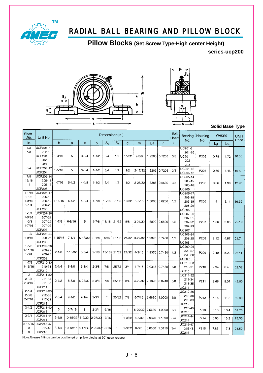

**Pillow Blocks (Set Screw Type-High center Height)**

**series-ucp200**





**Solid Base Type**

| Shaft<br>Dia.                                      | Unit No.                                                 |             |                                 |              |                |                | Dimensions(in.) |            |             |                |                | <b>Bolt</b><br>Used | Bearing                                                | Housing          | Weight |      | <b>UNIT</b><br>Price |
|----------------------------------------------------|----------------------------------------------------------|-------------|---------------------------------|--------------|----------------|----------------|-----------------|------------|-------------|----------------|----------------|---------------------|--------------------------------------------------------|------------------|--------|------|----------------------|
| in.                                                |                                                          | h           | a                               | $\mathbf{e}$ | $\mathsf b$    | S <sub>2</sub> | S <sub>1</sub>  | g          | W           | B <sub>1</sub> | $\overline{n}$ | in.                 | No.                                                    | No.              | kg     | ibs. |                      |
| 1/2<br>5/8                                         | UCP201-8<br>202-10<br>UCP201<br>202<br>203               | $1 - 3/16$  | 5                               | $3 - 3/4$    | $1 - 1/2$      | 3/4            | 1/2             | 15/32      | $2 - 3/8$   | 1.2205         | 0.7205         | 3/8                 | UC201-8<br>201-10<br>UC201<br>202<br>203               | P203             | 0.78   | 1.72 | 10.50                |
| 3/4.                                               | UCP204-12<br><b>UCP204</b>                               | $1 - 5/16$  | 5                               | $3 - 3/4$    | $1 - 1/2$      | 3/4            | 1/2             | 1/2        | $2 - 17/32$ | 1.2205         | 0.7205         | 3/8                 | UC204-12<br>UC204-13                                   | P204             | 0.66   | 1.46 | 10.50                |
| 7/8<br>15/16<br>$\mathbf{1}$                       | UCP205-14<br>205-15<br>205-16<br><b>UCP205</b>           | $1 - 7/16$  | $5 - 1/2$                       | $4 - 1/8$    | $1 - 1/2$      | 3/4            | 1/2             | 1/2        | $2 - 25/32$ | 1.3386         | 0.5630         | 3/8                 | UC205-14<br>$205 - 15$<br>205-16<br><b>UC205</b>       | P <sub>205</sub> | 0.86   | 1.90 | 12.95                |
| $1 - 1/16$<br>$1 - 1/8$<br>$1 - 3/16$<br>$1 - 1/4$ | UCP206-17<br>206-18<br>206-19<br>206-20<br><b>UCP206</b> | $1 - 11/16$ | $6 - 1/2$                       | $4 - 3/4$    | $1 - 7/8$      | 13/16          | 21/32           | 19/32      | $3 - 5/15$  |                | 1.5000 0.6260  | 1/2                 | UC206-17<br>206-18<br>206-19<br>206-20<br><b>UC206</b> | P206             | 1.41   | 3.11 | 16.35                |
| $1 - 1/4$<br>$1 - 5/16$<br>$1 - 3/8$<br>$1 - 7/16$ | UCP207-20<br>207-21<br>207-22<br>207-23<br>UCP207        | $1 - 7/8$   | $6 - 9/16$                      | 5            | $1 - 7/8$      | 13/16          | 21/32           | 5/8        |             | 3-21/32 1.6890 | 0.6890         | 1/2                 | UC207-20<br>207-21<br>207-22<br>207-23<br><b>UC207</b> | P207             | 1.66   | 3.66 | 20.10                |
| $1 - 1/2$<br>$1 - 9/16$                            | UCP208-24<br>208-25<br><b>UCP208</b>                     | $1 - 15/16$ | $7 - 1/4$                       | 5-13/32      | $2 - 1/8$      | 13/6           | 21/32           | 21/32      | $3 - 27/32$ | 1.9370         | 0.7460         | 1/2                 | UC208-24<br>208-25<br><b>UC208</b>                     | P208             | 2.12   | 4.67 | 24.71                |
| $1 - 5/8$<br>1-11/16<br>$1 - 3/4$                  | UCP209-26<br>209-27<br>209-28<br><b>UCP209</b>           | $2 - 1/8$   | 7-15/32                         | $5 - 3/4$    | $2 - 1/8$      | 13/16          | 21/32           | 21/32      | $4 - 3/16$  | 1.9370         | 0.7480         | 1/2                 | UC209-26<br>209-27<br>209-28<br><b>UC209</b>           | P209             | 2.40   | 5.29 | 26.11                |
| $1 - 7/8$<br>$1 - 15/16$                           | UCP210-30<br>210-31<br>UCP210                            | $2 - 1/4$   | $8 - 1/8$                       | $6 - 1/4$    | $2 - 3/8$      | 7/8            | 25/32           | 3/4        | $4 - 7/16$  |                | 2.0315 0.7480  | 5/8                 | UC210-30<br>210-31<br>UC210                            | P210             | 2.94   | 6.48 | 32.52                |
| $\overline{2}$<br>$2 - 1/8$<br>$2 - 3/16$          | UCP211-32<br>211-34<br>211-35<br><b>UCP211</b>           | $2 - 1/2$   | $8 - 5/8$                       | 6-23/32      | $2 - 3/8$      | 7/8            | 25/32           | 3/4        | 4-29/32     | 2.1890         | 0.8740         | 5/8                 | UC211-32<br>211-34<br>211-35<br>UC211                  | P211             | 3.66   | 8.07 | 42.50                |
| $2 - 1/4$<br>$2 - 3/8$<br>$2 - 7/16$               | UCP212-36<br>212-38<br>212-39<br>UCP212                  | $2 - 3/4$   | $9 - 1/2$                       | $7 - 1/4$    | $2 - 3/4$      | $\mathbf{1}$   | 25/32           | 7/8        | $5 - 7/16$  | 2.5630         | 1.0000         | 5/8                 | UC212-36<br>212-38<br>212-39<br>UC212                  | P212             | 5.15   | 11.3 | 52.80                |
| $2 - 1/2$                                          | UCP213-40<br>UCP213                                      | 3           | 10-7/16                         | 8            | $2 - 3/4$      | $1 - 3/16$     | $\mathbf{1}$    | 1          | 5-29/32     | 2.5630         | 1.0000         | 3/4                 | 213-40<br>UC213                                        | P213             | 6.10   | 13.4 | 69.70                |
| $2 - 3/4$                                          | UCP214-44<br>UCP214                                      | $3 - 1/8$   | 10-15/32                        | $8 - 9/32$   | 2-27/32 1-3/16 |                | $\mathbf{1}$    | $1 - 3/32$ | $6 - 5/32$  | 2.9370         | 1.1890         | 3/4                 | UC214-44<br><b>UC214</b>                               | P214             | 6.90   | 15.2 | 78.50                |
| 3<br>3                                             | 2-15/16 UCP215-47<br>215-48<br><b>UCP215</b>             | $3 - 1/4$   | 10-13/16 8-17/32 2-29/32 1-3/16 |              |                |                | $\mathbf{1}$    | $1 - 3/32$ | $6 - 3/8$   | 3.0630         | 1.3110         | 3/4                 | UC215-47<br>215-48<br><b>UC215</b>                     | P215             | 7.85   | 17.3 | 93.50                |

Note:Grease fittings can be positioned on pillow blocks at 90° upon request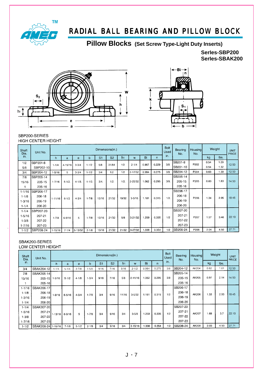

### **Pillow Blocks (Set Screw Type-Light Duty Inserts)**

**SerIes-SBP200 SerIes-SBAK200**





#### SBP200-SERIES HIGH CENTER HEIGHT

| Shaft<br>Dia. | Unit No.  |             |             |             |            |                | Dimensions(in.) |                |               |       |       | Bolt<br>Used | Bearing<br>No. | Housing<br>No.   | Weight |      | <b>UNIT</b><br><b>PRICE</b> |
|---------------|-----------|-------------|-------------|-------------|------------|----------------|-----------------|----------------|---------------|-------|-------|--------------|----------------|------------------|--------|------|-----------------------------|
| in.           |           | h.          | a           | e           | b          | S <sub>1</sub> | S <sub>2</sub>  | h <sub>1</sub> | W             | Bi    | n.    | in.          |                |                  | kg     | lbs. |                             |
| 1/2           | SBP201-8  | $1 - 1/4$   | 4.15/16     | $3 - 3/4$   | $1 - 1/2$  | 5/8            | 31/64           | 1/2            | $2 - 1/4$     | 0.867 | 0.229 | 3/8          | SB201-8        | P <sub>202</sub> | 0.54   | 1.29 | 12.50                       |
| 5/8           | SBP202-10 |             |             |             |            |                |                 |                |               |       |       |              | SB201-10       |                  | 0.54   | 1.32 |                             |
| 3/4           | SBP204-12 | $1 - 5/16$  | 5           | $3 - 3/4$   | $1 - 1/2$  | 3/4            | 1/2             | 1/2            | $2 - 17/32$   | 0.984 | 0.275 | 3/8          | SB204-12       | P204             | 0.63   | 1.39 | 12.50                       |
| 7/8           | SBP205-14 |             |             |             |            |                |                 |                |               |       |       |              | SB205-14       |                  |        |      |                             |
| 15/16         | 205-15    | $1 - 7/16$  | $5 - 1/2$ . | $4 - 1/8$ . | $1 - 1/2.$ | 3/4.           | $1/2$ .         | 1/2.           | $2 - 25/32$ . | .062  | 0.295 | 3/8          | 205-15         | P205             | 0.83   | 1.83 | 14.50                       |
| 1             | 205-16    |             |             |             |            |                |                 |                |               |       |       |              | 205-16         |                  |        |      |                             |
| $1 - 1/16$    | SBP206-17 |             |             |             |            |                |                 |                |               |       |       |              | SB206-17       |                  |        |      |                             |
| $1 - 1/8$     | 206-18    |             |             | $4 - 3/4$   | $1 - 7/8$  | 13/16          | 21/32           | 19/32          | $3 - 5/16$    | 1.181 | 0.315 | 1/2.         | 206-18         | P206             | 1.34   | 2.95 | 18.45                       |
| 1-3/16        | 206-19    | $1 - 11/16$ | $6 - 1/2$   |             |            |                |                 |                |               |       |       |              | 206-19         |                  |        |      |                             |
| $1 - 1/4$     | 206-20    |             |             |             |            |                |                 |                |               |       |       |              | 206-20         |                  |        |      |                             |
| $1 - 1/4$     | SBP207-20 |             |             |             |            |                |                 |                |               |       |       |              | SB207-20       |                  |        |      |                             |
| $1 - 5/16$    | 207-21    |             |             | 5           | $1 - 7/8$  | 13/16          | 21/32           | 5/8            | $3 - 21/32$   | .259  | 0.335 | 1/2          | 207-21         | P207             | 1.57   | 3.46 | 22.10                       |
| $1 - 3/8$     | 207-22    | $1 - 7/8$   | $6 - 9/16$  |             |            |                |                 |                |               |       |       |              | 207-22         |                  |        |      |                             |
| $1 - 7/16$    | 207-23    |             |             |             |            |                |                 |                |               |       |       |              | 207-23         |                  |        |      |                             |
| $1 - 1/2$     | SBP208-24 | $1 - 15/16$ | $7 - 1/4$   | 5-13/32     | $2 - 1/8$  | 13/16          | 21/32           | 21/32          | 3-27/32       | 1.338 | 0.354 | 1/2          | SB208-24       | P208             | 2.04   | 4.50 | 27.71                       |

### SBAK200-SERIES

LOW CENTER HEIGHT

| Shaft<br>Dia. | Unit No.           |            |            |           |           |                | Dimensions(in.) |       |             |       |       | <b>Bolt</b><br>Used | <b>Bearing</b><br>No. | Housing<br>No. |      | Weight | <b>UNIT</b><br>PRICE |
|---------------|--------------------|------------|------------|-----------|-----------|----------------|-----------------|-------|-------------|-------|-------|---------------------|-----------------------|----------------|------|--------|----------------------|
| in.           |                    | h          | a          | e         | b         | S <sub>1</sub> | S <sub>2</sub>  | h1    | W           | Bi    | n.    | in.                 |                       |                | kg   | lbs.   |                      |
| 3/4           | SBAK204-12         | $1 - 1/4$  | $5 - 1/4$  | $3 - 7/8$ | $1 - 5/8$ | 9/16           | 7/16            | 9/16  | $2 - 1/2$   | 0.984 | 0.275 | 3/8                 | SB204-12              | AK204          | 0.82 | 1.81   | 12.50                |
| 7/8           | SBAK205-14         |            |            |           |           |                |                 |       |             |       |       |                     | SB205-14              |                |      |        |                      |
| 15/16         | $205 - 15$         | $1 - 5/16$ | $5 - 1/2$  | $4 - 1/8$ | $1 - 3/4$ | 9/16           | 7/16            | 5/8   | $2 - 11/16$ | 1.062 | 0.295 | 3/8                 | 205-15                | AK205          | 0.97 | 2.14   | 14.50                |
|               | $205 - 16$         |            |            |           |           |                |                 |       |             |       |       |                     | 205-16                |                |      |        |                      |
| $1 - 1/16$    | SBAK206-17         |            |            |           |           |                |                 |       |             |       |       |                     | SB206-17              |                |      |        |                      |
| $1 - 1/8$     | $206 - 18$         | $1 - 9/16$ | $6 - 5/16$ | $4 - 3/4$ | $1 - 7/8$ | 3/4            | 9/16            | 11/16 | $3 - 5/32$  | 1.181 | 0.315 | 1/2                 | 206-18                | AK206          | 1.33 | 2.93   | 18.45                |
| $1 - 3/16$    | 206-19             |            |            |           |           |                |                 |       |             |       |       |                     | 206-19                |                |      |        |                      |
| $1 - 1/4$     | 206-20             |            |            |           |           |                |                 |       |             |       |       |                     | 206-20                |                |      |        |                      |
| $1 - 1/4$     | SBAK207-20         |            |            |           |           |                |                 |       |             |       |       |                     | SB207-20              |                |      |        |                      |
| $1-5/16$      | $207 - 21$         |            |            | 5         | $1 - 7/8$ | 3/4            | 9/16            | 3/4   | $3 - 5/8$   | 1.259 | 0.335 | 1/2                 | 207-21                | AK207          | 1.68 | 3.7    | 22.10                |
| $1 - 3/8$     | 207-22             | $1-13/16$  | $6 - 9/16$ |           |           |                |                 |       |             |       |       |                     | 207-22                |                |      |        |                      |
| $1 - 7/16$    | 207-23             |            |            |           |           |                |                 |       |             |       |       |                     | 207-23                |                |      |        |                      |
| $1 - 1/2$     | SBAK208-24 1-15/16 |            | $7 - 1/8$  | $5 - 1/2$ | $2 - 1/8$ | 3/4            | 9/16            | 3/4   | $3 - 15/16$ | 1.338 | 0.354 | 1/2                 | SB208-24              | AK208          | 2.03 | 4.50   | 27.71                |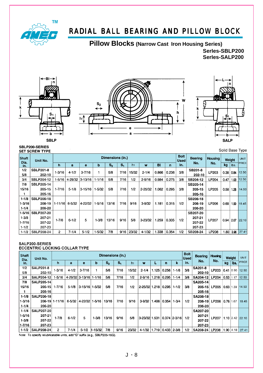

**Pillow Blocks (Narrow Cast Iron Housing Series)**

**SerIes-SBLP200 SerIes-SALP200**







SBLP200-SERIES **SET SCREW TYPE** 

Solid Base Type

| Shaft<br>Dia. | Unit No.          |                |            |             |            | Dimensions (in.) |         |                |             |       |       | <b>Bolt</b><br><b>Used</b> | <b>Bearing</b> | <b>Housing</b> | Weight |           | <b>UNIT</b>  |
|---------------|-------------------|----------------|------------|-------------|------------|------------------|---------|----------------|-------------|-------|-------|----------------------------|----------------|----------------|--------|-----------|--------------|
| in.           |                   | 'n             | а          | е           | b          | $S_{2}$          | $S_{1}$ | h <sub>1</sub> | w           | BI    | n     | in.                        | No.            | No.            | kg     | lbs.      | <b>PRICE</b> |
| 1/2           | <b>SBLP201-8</b>  | $1 - 3/16$     | $4 - 1/2$  | $3 - 7/16$  |            | 5/8              | 7/16    | 15/32          | $2 - 1/4$   | 0.866 | 0.236 | 3/8                        | SB201-8        | LP203          | 0.38   | 0.84      | 12.50        |
| 5/8           | 202-10            |                |            |             |            |                  |         |                |             |       |       |                            | 202-10         |                |        |           |              |
| 3/4           | <b>SBLP204-12</b> | 1-5/16         | 4-29/32    | $ 3-13/16 $ | $1 - 1/16$ | 5/8              | 7/16    | 1/2            | $2 - 9/16$  | 0.984 | 0.275 | 3/8                        | SB204-12       | <b>LP204</b>   | 0.47   | 1.03      | 12.50        |
| 7/8           | SBLP205-14        |                |            |             |            |                  |         |                |             |       |       |                            | SB205-14       |                |        |           |              |
| 15/16         | 205-15            | $1 - 7/16$     | $5 - 1/8$  | 3-15/16     | $1 - 5/32$ | 5/8              | 7/16    | 1/2            | $2 - 25/32$ | 1.062 | 0.295 | 3/8                        | $205 - 15$     | <b>LP205</b>   | 0.58   | 1.28      | 14.50        |
|               | 205-16            |                |            |             |            |                  |         |                |             |       |       |                            | 205-16         |                |        |           |              |
| $1 - 1/8$     | <b>SBLP206-18</b> |                |            |             |            |                  |         |                |             |       |       |                            | SB206-18       |                |        |           |              |
| $1 - 3/16$    | 206-19            | $1 - 11/16$    | $6 - 5/32$ | 4-22/32     | $1 - 5/16$ | 13/16            | 7/16    | 9/16           | $3 - 9/32$  | 1.181 | 0.315 | 1/2                        | 206-19         | <b>LP206</b>   | 0.68   | 1.50      | 18.45        |
| $1 - 1/4$     | 206-20            |                |            |             |            |                  |         |                |             |       |       |                            | 206-20         |                |        |           |              |
| 1-5/16        | <b>SBLP207-20</b> |                |            |             |            |                  |         |                |             |       |       |                            | SB207-20       |                |        |           |              |
| $1 - 3/8$     | 207-21            | $1 - 7/8$      |            | 5.          | $1 - 3/8$  |                  | 9/16    | 5/8            | $3 - 23/32$ | 1.259 |       | 1/2                        | 207-21         |                |        |           |              |
| 1-7/16        | 207-22            |                | $6 - 1/2$  |             |            | 13/16            |         |                |             |       | 0.335 |                            | 207-22         | <b>LP207</b>   | 0.94   | 2.07      | 22.10        |
| $1 - 1/2$     | 207-23            |                |            |             |            |                  |         |                |             |       |       |                            | $207 - 23$     |                |        |           |              |
| $1 - 1/2$     | SBLP208-24        | $\overline{2}$ | $7 - 1/4$  | $5 - 1/2$   | $1 - 5/32$ | 7/8              | 9/16    | 23/32          | $4 - 1/32$  | 1.338 | 0.354 | 1/2                        | SB208-24       | LP208          |        | 1.80 3.96 | 27.41        |

#### SALP200-SERIES **ECCENTRIC LOCKING COLLAR TYPE**

| <b>Shaft</b><br>Dia. | Unit No.          |                |            |                 |             |         | Dimensions (in.) |                |             |       |                 |                  | <b>Bolt</b><br><b>Used</b> | <b>Bearing</b> | Housing      |             | Weight         | <b>UNIT</b>       |
|----------------------|-------------------|----------------|------------|-----------------|-------------|---------|------------------|----------------|-------------|-------|-----------------|------------------|----------------------------|----------------|--------------|-------------|----------------|-------------------|
| in.                  |                   | h              | a          | е               | b           | $S_{2}$ | $S_1$            | h <sub>1</sub> | w           |       | n               | k                | in.                        | No.            | No.          | kg          | lbs.           | <b>PRICE</b>      |
| 1/2                  | <b>SALP201-8</b>  | 1-3/16         | $4 - 1/2$  | $3 - 7/16$      |             | 5/8     | 7/16             | 15/32          | $2 - 1/4$   | 1.125 | 0.256           | $1 - 1/8$        | 3/8                        | SA201-8        | LP203        |             |                | 0.41 0.90 12.50   |
| 5/8                  | 202-10            |                |            |                 |             |         |                  |                |             |       |                 |                  |                            | $202 - 10$     |              |             |                |                   |
| 3/4                  | <b>SALP204-12</b> | $-5/16$        |            | 4-29/32 3-13/16 | $1 - 1/16$  | 5/8     | 7/16             | 1/2            | $2 - 9/16$  | 1.218 | 0.295           | $1 - 1/4$        | 3/8                        | SA204-12       | <b>LP204</b> |             |                | $0.53$ 1.17 12.50 |
| 7/8                  | <b>SALP205-14</b> |                |            |                 |             |         |                  |                |             |       |                 |                  |                            | SA205-14       |              |             |                |                   |
| 15/16                | $205 - 15$        | $1 - 7/16$     | $5 - 1/8$  | 3-15/16 1-5/32  |             | 5/8     | 7/16             | 1/2            | $2 - 25/32$ | 1.218 | 0.295           | $1 - 1/2$        | 3/8                        | $205 - 15$     | LP205        | $0.63$ 1.39 |                | 14.50             |
|                      | 205-16            |                |            |                 |             |         |                  |                |             |       |                 |                  |                            | 205-16         |              |             |                |                   |
| $1 - 1/8$            | <b>SALP206-18</b> |                |            |                 |             |         |                  |                |             |       |                 |                  |                            | SA206-18       |              |             |                |                   |
| $1 - 3/16$           |                   | 206-19 1-11/16 | $6 - 5/32$ | 4-22/32 1-5/16  |             | 13/16   | 7/16             | 9/16           | $3 - 9/32$  | .406  | 0.354           | $1 - 3/4$        | 1/2                        | $206 - 19$     | <b>LP206</b> | $0.76$ 1.67 |                | 18.45             |
| $1 - 1/4$            | 206-20            |                |            |                 |             |         |                  |                |             |       |                 |                  |                            | 206-20         |              |             |                |                   |
| $1 - 1/4$            | <b>SALP207-20</b> |                |            |                 |             |         |                  |                |             |       |                 |                  |                            | SA207-20       |              |             |                |                   |
| $1 - 5/16$           | 207-21            | $1 - 7/8$      | $6 - 1/2$  | 5.              | $1 - 3/8$   | 13/16   | 9/16             | 5/8            | $3 - 23/32$ | 1.531 |                 | $0.374$   2-3/16 |                            | 207-21         | LP207        |             |                |                   |
| $1 - 3/8$            | 207-22            |                |            |                 |             |         |                  |                |             |       |                 |                  | 1/2                        | 207-22         |              |             |                | $1.10$ 2.42 22.10 |
| $1 - 7/16$           | 207-23            |                |            |                 |             |         |                  |                |             |       |                 |                  |                            | 207-23         |              |             |                |                   |
| $1 - 1/2$            | <b>SALP208-24</b> | $\overline{2}$ | $7 - 1/4$  | $5 - 1/2$       | $1 - 15/32$ | 7/8     | 9/16             | 23/32          | $4 - 1/32$  | 1.719 | $0.433   2-3/8$ |                  | 1/2                        | SA208-24       | <b>LP208</b> |             | $1.90$ $ 4.18$ | 27.41             |

Note: To specify relubricatable units, add "G" suffix (e.g., SBLP205-16G).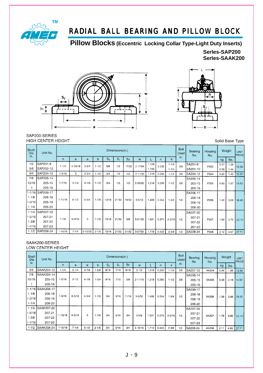

**Pillow Blocks (Eccentric Locking Collar Type-Light Duty Inserts)**

**SerIes-SAP200 SerIes-SAAK200**





 $206 - 18$ 

206-19

206-20

207-21

207-22

207-23

SA208-24

SA207-20

P206

P207

 $P208$ 

 $1.40$ 3.09 18.45

1.68 3.70  $2210$ 

 $2.12$ 

 $4.67$  27.71

#### SAP200-SERIES **HIGH CENTER HEIGHT**

Unit No.

SAP201-8

SAP202-10

SAP204-12

SAP205-14

1-1/16 SAP206-17

 $205 - 15$ 

 $205 - 16$ 

 $206 - 18$ 

 $h$ 

 $1 - 1/4$ 

 $1 - 5/16$ 

 $1 - 7/16$ 

 $1 - 11/16$ 

 $\overline{a}$ 

 $4 - 15/16$ 

 $\overline{5}$ 

 $5 - 1/2$ 

 $6 - 1/2$ 

 $\epsilon$ 

 $3 - 3/4$ 

 $3 - 3/4$ 

 $4 - 1/8$ 

 $4 - 3/4$ 

 $1 - 7/8$ 

13/16

21/32

19/32

 $5/8$ 

 $21/32$ 

 $3 - 5/16$ 

 $3 - 21/32$ 

 $3 - 27/32$ 

1.406

1.531

 $1.719$ 

0.354

0.374

 $0.433$ 

Shaft

Dia.

in.

 $1/2$ 

 $5/8$ 

 $\overline{3/4}$ 

 $\overline{7/8}$ 

15/16

 $\mathbf{1}$ 

 $1 - 1/8$ 

Bolt Dimensions(in.) Bearing Weight Housing **UNIT** Used No. No. PRICE in.  $\overline{b}$  $\overline{\mathsf{s}}$  $\overline{S_i}$  $\overline{h_1}$  $\mathsf{w}$  $\overline{L}$  $\overline{p}$  $\overline{\mathsf{k}}$  $kg$  $\overline{\text{lb}}$ s.  $1.128$  $1 - 1/8$ SA201-8  $0.57$  $1.39$  $1 - 1/2$  $5/8$  $1/2$ 17/32  $2 - 17/64$ 0.232  $3/8$ P202  $12.50$  $1.155$  $1 - 1/4$ SA201-10 0.58  $1.44$  $\overline{3/4}$  $1 - 1/2$  $1/2$  $1/2$  $2 - 11/32$  $1.218$ 0.295  $1 - 1/4$  $\overline{3/8}$ SA204-12 P<sub>204</sub>  $0.65$  $1.43$  $12.50$ SA205-14  $1 - 1/2$  $3/4.$  $1/2$ .  $1/2.$  $2 - 25/32$ 1.218 0.295  $1 - 1/2$  $3/8$  $205 - 15$ P205  $0.85$  $14.50$ 1.87 205-16 SA206-17

 $1 - 3/4$ 

 $2 - 3/16$ 

 $2 - 3/8$ 

 $1/2.$ 

 $1/2$ 

 $1/2$ 

#### $1 - 3/16$ 206-19  $1 - 1/4$ 206-20  $1 - 1/4$ SAP207-20  $1 - 5/16$ 207-21  $1 - 7/8$  $6 - 9/16$  $\overline{5}$  $1 - 7/8$  $13/16$  $21/32$  $1 - 3/8$ 207-22  $1 - 7/16$ 207-23 1-1/2 SAP208-24  $1 - 15/16$  $7 - 1/4$  $5 - 13/32$  $2 - 1/8$  $13/16$  $21/32$

### SAAK200-SERIES

LOW CENTER HEIGHT

| Shaft<br>Dia. | Unit No.          |             |            |           |           |                | Dimensions(in.) |                |             |       |       |            | Bolt<br>Used | Bearing<br>No. | <b>Housing</b><br>No. |      | Weight | <b>UNIT</b><br>PRICE |
|---------------|-------------------|-------------|------------|-----------|-----------|----------------|-----------------|----------------|-------------|-------|-------|------------|--------------|----------------|-----------------------|------|--------|----------------------|
| in.           |                   | h.          | a          | e         | b         | S <sub>2</sub> | $S_{1}$         | h <sub>1</sub> | W           | L.    | n     | k.         | in.          |                |                       | kg   | lbs.   |                      |
| 3/4           | SAAK204-12        | $1 - 1/4$   | $5 - 1/4$  | $3 - 7/8$ | $1 - 5/8$ | 9/16           | 7/16            | 9/16           | $2 - 1/2$   | 1.218 | 0.295 | $1 - 1/4$  | 3/8          | SA201-12       | AK204                 | 0.84 | .85    | 12.50                |
| .7/8          | SAAK205-14        |             |            |           |           |                |                 |                |             |       |       |            |              | SA205-14       |                       |      |        |                      |
| 15/16         | 205-15            | $1 - 5/16$  | $5 - 1/2$  | $4 - 1/8$ | $1 - 3/4$ | 9/16           | 7/16            | 5/8            | $2 - 11/16$ | 1.218 | 0.295 | $1 - 1/2$  | 3/8          | 205-15         | AK205                 | 0.99 | 2.18   | 14.50                |
|               | 205-16            |             |            |           |           |                |                 |                |             |       |       |            |              | 205-16         |                       |      |        |                      |
|               | 1-1/16 SAAK206-17 |             |            |           |           |                |                 |                |             |       |       |            |              | SA206-17       |                       |      |        |                      |
| $1 - 1/8$     | 206-18            | $1 - 9/16$  | $6 - 5/16$ | $4 - 3/4$ | $1 - 7/8$ | 3/4            | 9/16            | 11/16          | $3 - 5/32$  | 1.406 |       | $1 - 3/4$  | 1/2          | 206-18         |                       |      |        |                      |
| 1-3/16        | 206-19            |             |            |           |           |                |                 |                |             |       | 0.354 |            |              | 206-19         | AK206                 | 1.39 | 3.06   | 18.45                |
| $1 - 1/4$     | 206-20            |             |            |           |           |                |                 |                |             |       |       |            |              | 206-20         |                       |      |        |                      |
| $1 - 1/4$     | SAAK207-20        |             |            |           |           |                |                 |                |             |       |       |            |              | SA207-20       |                       |      |        |                      |
| $1 - 5/16$    | 207-21            | $1 - 13/16$ | $6 - 9/16$ | 5         | $1 - 7/8$ | 3/4            | 9/16            | 3/4            | $3 - 5/8$   | 1.531 |       |            |              | 207-21         |                       |      |        |                      |
| $1 - 3/8$     | 207-22            |             |            |           |           |                |                 |                |             |       | 0.374 | $2 - 3/16$ | 1/2          | 207-22         | AK207                 | 1.79 | 3.95   | 22.10                |
| $1 - 7/16$    | 207-23            |             |            |           |           |                |                 |                |             |       |       |            |              | 207-23         |                       |      |        |                      |
| $1 - 1/2$     | SAAK208-24        | $1 - 15/16$ | $7 - 1/8$  | $5 - 1/2$ | $2 - 1/8$ | 3/4            | 9/16            | 3/4            | $3 - 15/16$ | 1.719 | 0.433 | $2 - 3/8$  | 1/2          | SA208-24       | AK208                 | 2.11 | 4.65   | 27.71                |

Solid Base Type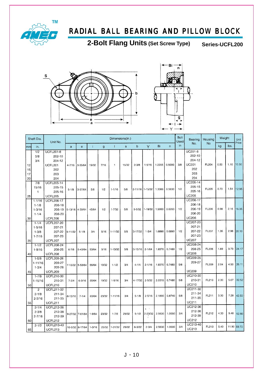

**2-Bolt Flang Units (Set Screw Type) Series-UCFL200**





|                      | Shaft Dia.                                         | Unit No.                                                                    |                 |                 |            |       | Dimensions(in.) |              |                 |                          |        |        | Bolt<br>Used | Bearing                                                          | Housing      | Weight |      | Unit        |
|----------------------|----------------------------------------------------|-----------------------------------------------------------------------------|-----------------|-----------------|------------|-------|-----------------|--------------|-----------------|--------------------------|--------|--------|--------------|------------------------------------------------------------------|--------------|--------|------|-------------|
| mm                   | in.                                                |                                                                             | a               | e               | Ť          | g     | $\mathbf{I}$    | $\mathbf{s}$ | b               | Ÿ                        | Bi     | n      | in.          | No.                                                              | No.          | kg     | lbs. | Price       |
| 12<br>15<br>17<br>20 | 1/2<br>5/8<br>3/4                                  | <b>UCFL201-8</b><br>202-10<br>204-12<br><b>UCFL201</b><br>202<br>203<br>204 | $4 - 7/16$      | 3-35/64         | 19/32      | 7/16  | $\mathbf{1}$    | 15/32        | $2 - 3/8$       | $1 - 5/16$               | 1.2205 | 0.5000 | 3/8          | UC201-8<br>202-10<br>204-12<br><b>UC201</b><br>202<br>203<br>204 | FL204        | 0.50   | 1.10 | 10.50       |
| 25                   | 7/8<br>15/16<br>$\mathbf{1}$                       | <b>UCFL205-14</b><br>205-15<br>205-16<br><b>UCFL205</b>                     | $5 - 1/8$       | 3-57/64         | 5/8        | 1/2   | $1 - 1/16$      | 5/8          | 2-11/16 1-15/32 |                          | 1.3386 | 0.5630 | 1/2          | UC205-14<br>205-15<br>205-16<br><b>UC205</b>                     | FL205        | 0.70   | 1.54 | 12.95       |
| 30                   | $1 - 1/16$<br>$1 - 1/8$<br>$1 - 3/16$<br>$1 - 1/4$ | <b>UCFL206-17</b><br>$206 - 18$<br>206-19<br>206-20<br>UCFL206              | 5-13/16 4-39/64 |                 | 45/64      | 1/2   | $1 - 7/32$      | 5/8          | $3 - 5/32$      | 1-19/32                  | 1.5000 | 0.6260 | 1/2          | UC206-17<br>206-18<br>206-19<br>206-20<br><b>UC206</b>           | FL206        | 0.98   | 2.16 | 16.35       |
| 35                   | $1 - 1/4$<br>$1 - 5/16$<br>$1 - 3/8$<br>$1 - 7/16$ | <b>UCFL207-20</b><br>207-21<br>207-22<br>207-23<br><b>UCFL207</b>           | $6 - 11/32$     | $5 - 1/8$       | 3/4        | 9/16  | $1 - 11/32$     | 5/8          | 3-17/32         | $1 - 3/4$                | 1.6890 | 0.6890 | 1/2          | UC207-20<br>207-21<br>207-22<br>207-23<br><b>UC207</b>           | FL207        | 1.35   | 2.98 | 20.10       |
| 40                   | $1 - 1/2$<br>$1 - 9/16$                            | <b>UCFL208-24</b><br>208-25<br>UCFL208                                      | $6 - 7/8$       | 5-43/64         | 53/64      | 9/16  | $1 - 13/32$     | 5/8          | $3-15/16$       | $2 - 1/64$               | 1.9370 | 0.7480 | 1/2          | UC208-24<br>208-25<br><b>UC208</b>                               | <b>FL208</b> | 1.69   | 3.73 | 24.17       |
| 45                   | $1 - 5/8$<br>$1 - 11/16$<br>$1 - 3/4$              | <b>UCFL209-26</b><br>209-27<br>209-28<br>UCFL209                            | 7-13/32         | 5-53/64         | 55/64      | 19/32 | $1 - 1/2$       | 3/4          | $4 - 1/4$       | $2 - 1/16$               | 1.9370 | 0.7480 | 5/8          | UC209-26<br>209-27<br><b>UC209</b>                               | FL209        | 2.04   | 4.50 | 26.11       |
| 50                   | $1 - 7/8$<br>1-15/16                               | UCFL210-30<br>210-31<br>UCFL210                                             | $7 - 3/4$       | $6 - 3/16$      | 55/64      | 19/32 | $1 - 9/16$      | 3/4          | 4-17/32         | $2 - 5/32$               | 2.0315 | 0.7480 | 5/8          | UC210-30<br>210-31<br><b>UC210</b>                               | FL210        | 2.30   | 5.07 | 32.52       |
| 55                   | $\overline{c}$<br>$2 - 1/8$<br>$2 - 3/16$          | UCFL211-32<br>211-34<br>211-35<br>UCFL211                                   | 8-13/16         | $7 - 1/4$       | 63/64      | 23/32 | $1 - 11/16$     | 3/4          | $5 - 1/8$       | $2 - 5/16$               | 2.1890 | 0.8740 | 5/8          | UC211-32<br>211-34<br>211-35<br><b>UC211</b>                     | FL211        | 3.30   | 7.28 | 42.50       |
| 60                   | $2 - 1/4$<br>$2 - 3/8$<br>$2 - 7/16$               | UCFL212-36<br>212-38<br>212-39<br><b>UCFL212</b>                            |                 | 9-27/32 7-61/64 | 1-9/64     | 23/32 | $1 - 7/8$       | 29/32        | $5 - 1/2$       | $\frac{1}{2}$<br>2-23/32 | 2.5630 | 1.0000 | 3/4          | UC212-36<br>212-38<br>212-39<br><b>UC212</b>                     | FL212        | 4.30   | 9.48 | 52.80       |
| 65                   | $2 - 1/2$                                          | <b>UCFL213-40</b><br>UCFL213                                                |                 | 10-5/32 8-17/64 | $1 - 3/16$ | 25/32 | 1-31/32         | 29/32        | $6 - 3/32$      | $2 - 3/4$                | 2.5630 | 1.0000 | 3/4          | UC213-40<br><b>UC213</b>                                         | FL213        | 5.40   |      | 11.90 69.70 |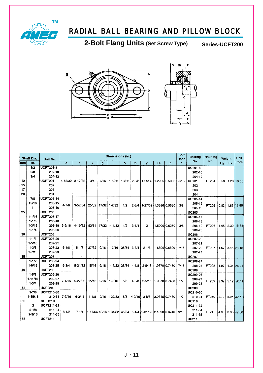

2-Bolt Flang Units (Set Screw Type) Series-UCFT200



|                | Shaft Dia.                                         | Unit No.                                                             |              |             |           |      | Dimensions (in.)                |       |             |                             |    |               | <b>Bolt</b><br>Used | <b>Bearing</b>                                                   | Housing |      | Weight | Unit         |
|----------------|----------------------------------------------------|----------------------------------------------------------------------|--------------|-------------|-----------|------|---------------------------------|-------|-------------|-----------------------------|----|---------------|---------------------|------------------------------------------------------------------|---------|------|--------|--------------|
| mm             | in.                                                |                                                                      | $\mathbf{a}$ | e           | f.        | g    | 1                               | s     | $\mathbf b$ | Y                           | BI | n             | in.                 | No.                                                              | No.     | kq   | lbs.   | Price        |
| 12<br>15<br>17 | 1/2<br>5/8<br>3/4                                  | <b>UCFT201-8</b><br>202-10<br>204-12<br><b>UCFT201</b><br>202<br>203 | 4-13/32      | $3 - 17/32$ | 3/4       | 7/16 | $1 - 5/32$                      | 13/32 |             | 2-3/8 1-25/32 1.2205 0.5000 |    |               | 5/16                | <b>UC201-8</b><br>202-10<br>204-12<br><b>UC201</b><br>202<br>203 | FT204   | 0.58 | 1.28   | 10.50        |
| 20<br>25       | 7/8<br>15/16<br>$\mathbf{1}$                       | 204<br><b>UCFT205-14</b><br>205-15<br>205-16<br><b>UCFT205</b>       | $4 - 7/8$    | $3-57/64$   | 25/32     |      | 17/32 1-7/32                    | 1/2   | $2 - 3/4$   | 1-27/32 1.3386 0.5630       |    |               | 3/8                 | 204<br>UC205-14<br>205-15<br>205-16<br><b>UC205</b>              | FT205   | 0.83 |        | $1.83$ 12.95 |
| 30             | $1 - 1/16$<br>$1 - 1/8$<br>$1 - 3/16$<br>$1 - 1/4$ | <b>UCFT206-17</b><br>206-18<br>206-19<br>206-20<br><b>UCFT206</b>    | $5 - 9/16$   | 4-19/32     | 53/64     |      | 17/32 1-11/32                   | 1/2   | $3 - 1/4$   | $\overline{2}$              |    | 1.5000 0.6260 | 3/8                 | UC206-17<br>206-18<br>206-19<br>206-20<br><b>UC206</b>           | FT206   | 1.05 |        | 2.32 16.35   |
| 35             | $1 - 1/4$<br>$1 - 5/16$<br>$1 - 3/8$<br>$1 - 7/16$ | <b>UCFT207-20</b><br>207-21<br>207-22<br>207-23<br><b>UCFT207</b>    | $6 - 1/8$    | $5 - 1/8$   | 27/32     | 9/16 | $1 - 7/16$                      | 35/64 | $3 - 3/4$   | $2 - 1/8$                   |    | 1 6890 0.6890 | 7/16                | UC207-20<br>207-21<br>207-22<br>207-23<br><b>UC207</b>           | FT207   | 1.57 |        | 3.46 20.10   |
| 40             | $1 - 1/2$<br>$1 - 9/16$                            | <b>UCFT208-24</b><br>208-25<br><b>UCFT208</b>                        | $6 - 3/4$    | 5-21/32     | 15/16     | 9/16 | 1-17/32                         | 35/64 | $4 - 1/8$   | $2 - 5/16$                  |    | 1.9370 0.7480 | 7/16                | UC208-24<br>208-25<br><b>UC208</b>                               | FT208   | 1.97 |        | 4.34 24.71   |
| 45             | $1 - 5/8$<br>1-11/16<br>$1 - 3/4$                  | <b>UCFT209-26</b><br>209-27<br>209-28<br><b>UCFT209</b>              | $7 - 1/16$   | 5-27/32     | 15/16     | 9/16 | $1 - 9/16$                      | 5/8   | $4 - 3/8$   | $2 - 5/16$                  |    | 1.9370 0.7480 | 1/2                 | UC209-26<br>209-27<br>209-28<br><b>UC209</b>                     | FT209   | 2.32 |        | $5.12$ 26.11 |
| 50             | $1 - 7/8$<br>$1 - 15/16$                           | <b>UCFT210-30</b><br>210-31<br><b>UCFT210</b>                        | $7 - 7/16$   | $6 - 3/16$  | $1 - 1/8$ | 9/16 | 1-27/32                         | 5/8   | 4-9/16      | $2 - 5/8$                   |    | 2.0315 0.7480 | 1/2                 | UC210-30<br>210-31<br><b>UC210</b>                               | FT210   | 2.70 |        | 5.95 32.52   |
| 55             | $\overline{2}$<br>$2 - 1/8$<br>$2 - 3/16$          | <b>UCFT211-32</b><br>211-34<br>211-35<br><b>UCFT211</b>              | $8 - 1/2$    | $7 - 1/4$   |           |      | 1-17/64  13/16  1-31/32   45/64 |       |             | 5-1/4 2-31/32 2.1890 0.8740 |    |               | 9/16                | UC211-32<br>211-34<br>211-35<br><b>UC211</b>                     | FT211   | 4.06 |        | 8.95 42.50   |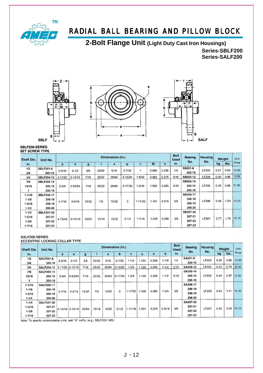

**2-Bolt Flange Unit (Light Duty Cast Iron Housings)**

**Series-SBLF200 Series-SALF200**







#### SBLF200-SERIES **SET SCREW TYPE**

| Shaft Dia. | Unit No.          |             |             |       |       | Dimensions (in.) |                                                               | <b>Bolt</b><br><b>Used</b> | <b>Bearing</b> | <b>Housing</b> | Weight |            | Unit         |      |      |       |  |
|------------|-------------------|-------------|-------------|-------|-------|------------------|---------------------------------------------------------------|----------------------------|----------------|----------------|--------|------------|--------------|------|------|-------|--|
| in.        |                   | a           | e           | g     |       | s                | b                                                             | Y                          | Bi             | $\mathsf{n}$   | in.    | No.        | No.          | ka   | ibs. | Price |  |
| 1/2        | <b>SBLF201-8</b>  | $3 - 3/16$  | $2 - 1/2$   | 3/8   | 23/32 | 5/16             | $2 - 7/32$                                                    |                            | 0.866          | 0.236          | 1/4    | SB201-8    | LF203        | 0.27 | 0.60 | 10.50 |  |
| 5/8        | 202-10            |             |             |       |       |                  |                                                               |                            |                |                |        | 202-10     |              |      |      |       |  |
| 3/4        | <b>SBLF204-12</b> | $3 - 17/32$ | $2 - 13/16$ | 7/16  | 25/32 | 25/64            | $2 - 13/32$                                                   | $-5/32$                    | 0.984          | 0.275          | 5/16   | SB204-12   | LF204        | 0.30 | 0.66 | 10.50 |  |
| 7/8        | <b>SBLF205-14</b> |             |             |       |       |                  |                                                               |                            |                |                |        | SB205-14   |              |      |      |       |  |
| 15/16      | 205-15            | $3 - 3/4$   | 2-63/64     | 7/16  | 25/32 | 25/64            | $2 - 17/32$                                                   | $1 - 3/16$                 | 1.062          | 0.295          | 5/16   | 205-15     | LF205        | 0.39 | 0.86 | 11.50 |  |
|            | 205-16            |             |             |       |       |                  |                                                               |                            |                |                |        | $205 - 16$ |              |      |      |       |  |
| $1 - 1/16$ | <b>SBLF206-17</b> |             |             |       |       |                  |                                                               |                            |                |                |        | SB206-17   |              |      |      |       |  |
| $1 - 1/8$  | 206-18            |             |             |       |       |                  | 206-18<br>3/8<br>0.315<br>3<br>$1 - 11/32$<br>1.181<br>206-19 | <b>LF206</b>               | 0.56           | 1.23           | 15.20  |            |              |      |      |       |  |
| $1 - 3/16$ | 206-19            | $4 - 7/16$  | $3 - 9/16$  | 15/32 | 7/8   | 15/32            |                                                               |                            |                |                |        |            |              |      |      |       |  |
| $1 - 1/4$  | 206-20            |             |             |       |       |                  |                                                               |                            |                |                |        | 206-20     |              |      |      |       |  |
| $1 - 1/4$  | <b>SBLF207-20</b> |             |             |       |       |                  |                                                               |                            |                |                |        | SB207-20   |              |      |      |       |  |
| $1 - 5/16$ | 207-21            |             |             |       |       |                  |                                                               |                            |                |                | 3/8    | 207-21     | <b>LF207</b> | 0.77 | 1.70 | 19.10 |  |
| $1 - 3/8$  | 207-22            | $4 - 13/16$ | $3-15/16$   | 33/64 | 15/16 | 15/32            | $3 - 1/2$                                                     | $1 - 7/16$                 | 1.259          | 0.335          |        | 207-22     |              |      |      |       |  |
| 1.7/16     | 207-23            |             |             |       |       |                  |                                                               |                            |                |                |        |            | 207-23       |      |      |       |  |

#### SALF200-SERIES

#### **ECCENTRIC LOCKING COLLAR TYPE**

| <b>Shaft Dia.</b> | Unit No.          |            |                 |       |       | Dimensions (in.) | <b>Bolt</b><br><b>Used</b> | Bearing     | <b>Housing</b> |         | Weight     |           |                    |              |              |      |       |       |
|-------------------|-------------------|------------|-----------------|-------|-------|------------------|----------------------------|-------------|----------------|---------|------------|-----------|--------------------|--------------|--------------|------|-------|-------|
| in.               |                   | a          | е               | g     |       | s                | b                          |             |                | n       | k          | in.       | No.                | No.          | kg           | lbs. | Price |       |
| 1/2               | <b>SALF201-8</b>  | $3 - 3/16$ | $2 - 1/2$       | 3/8   | 23/32 | 5/16             | $2 - 7/32$                 | $1 - 1/4$   | 1.125          | 0.256   | $1 - 1/8$  | 1/4       | SA201-8            | LF203        | 0.30         | 0.66 | 10.50 |       |
| 5/8               | 202-10            |            |                 |       |       |                  |                            |             |                |         |            |           | 202-10             |              |              |      |       |       |
| 3/4               | <b>SALF204-12</b> |            | 3-17/32 2-13/16 | 7/16  | 25/32 | 25/64            | $2 - 13/32$                | $1 - 3/8$   | 1.128          | 0.295   | $1 - 1/4$  | 5/16      | SA204-12           | LF204        | 0.34         | 0.75 | 10.50 |       |
| 7/8               | <b>SALF205-14</b> |            |                 |       |       |                  |                            |             |                |         |            |           | SA205-14           |              |              |      |       |       |
| 15/16             | 205-15            | $3 - 3/4$  | 2-63/64         |       | 7/16  | 25/32            | 25/64                      | $2 - 17/32$ | $1 - 3/8$      | 1.128   | 0.295      | $1 - 1/2$ | 5/16               | 205-15       | <b>LF205</b> | 0.44 | 0.97  | 11.50 |
|                   | 205-16            |            |                 |       |       |                  |                            |             |                |         |            |           | 205-16             |              |              |      |       |       |
| 11/16             | <b>SALF206-17</b> |            |                 |       |       |                  |                            |             |                |         |            |           | SA206-17<br>206-18 |              | 0.64         |      |       |       |
| $1 - 1/8$         | 206-18            |            |                 | 15/32 | 7/8   | 15/32            | 3                          | $1 - 17/32$ | 1.406          | 0 3 5 4 | $1 - 3/4$  | 3/8       |                    | <b>LF206</b> |              | 1.41 | 15.20 |       |
| $1 - 3/16$        | 206-19            | 4 7/16     | $3 - 9/16$      |       |       |                  |                            |             |                |         |            |           | 206-19             |              |              |      |       |       |
| $1 - 1/4$         | 206-20            |            |                 |       |       |                  |                            |             |                |         |            |           | 206-20             |              |              |      |       |       |
| $1 - 1/4$         | <b>SALF207-20</b> |            |                 |       |       |                  |                            |             |                |         |            |           | SA207-20           |              |              |      |       |       |
| $1 - 5/16$        | 207-21            |            |                 | 33/64 | 15/16 | 15/32            | $3 - 1/2$                  |             |                |         | $2 - 3/16$ | 3/8       | 207-21             | <b>LF207</b> | 0.92         | 2.03 | 19.10 |       |
| $1 - 3/8$         | 207-22            |            | 4-13/16 3-15/16 |       |       |                  |                            | $1 - 11/16$ | 1.531          | 0.374   |            |           | 207-22             |              |              |      |       |       |
| $1 - 7/16$        | 207-23            |            |                 |       |       |                  |                            |             |                |         |            |           |                    | 207-23       |              |      |       |       |

Note: To specify relubricatable units, add "G" suffix, (e.g., SBLF205-16G).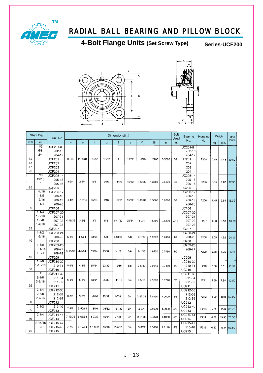

**4-Bolt Flange Units (Set Screw Type) Series-UCF200**





|                      | Shaft Dia.                                         | Unit No.                                                                                           |              |             |             |       | Dimensions(in.) |       |             |        |                | <b>Bolt</b><br>Used | Bearing                                                          | Housing |      | Weight | <b>Unit</b> |
|----------------------|----------------------------------------------------|----------------------------------------------------------------------------------------------------|--------------|-------------|-------------|-------|-----------------|-------|-------------|--------|----------------|---------------------|------------------------------------------------------------------|---------|------|--------|-------------|
| mm                   | in.                                                |                                                                                                    | $\mathbf{a}$ | $\mathbf e$ | ÷           | g     |                 | s     | Y           | Bi     | $\overline{n}$ | in.                 | No.                                                              | No.     | kg   | lbs.   | Price       |
| 12<br>15<br>17<br>20 | 1/2<br>5/8<br>3/4                                  | $UCF201-8$<br>202-10<br>204-12<br><b>UCF201</b><br><b>UCF202</b><br><b>UCF203</b><br><b>UCF204</b> | $3 - 3/8$    | 2-33/64     | 19/32       | 15/32 | 1               | 15/32 | $1 - 5/16$  | 1.2205 | 0.5000         | 3/8                 | UC201-8<br>202-10<br>204-12<br><b>UC201</b><br>202<br>203<br>204 | F204    | 0.65 | 1.43   | 10.50       |
| 25                   | 7/8<br>15/16<br>1.                                 | UCF205-14<br>205-15<br>205-16<br><b>UCF205</b>                                                     | $3 - 3/4$    | $2 - 3/4$   | 5/8         | 9/16  | $1 - 1/16$      | 15/32 | $1 - 13/32$ | 1.3386 | 0.5630         | 3/8                 | UC205-14<br>205-15<br>205-16<br><b>UC205</b>                     | F205    | 0.85 | 1.87   | 12.95       |
| 30                   | $1 - 1/16$<br>$1 - 1/8$<br>$1 - 3/16$<br>$1 - 1/4$ | UCF206-17<br>206-18<br>206-19<br>206-20<br><b>UCF206</b>                                           | $4 - 1/4$    | 3-17/64     | 45/64       | 9/16  | $1 - 7/32$      | 15/32 | 1-19/32     | 1.5000 | 0.6260         | 3/8                 | UC206-17<br>206-18<br>206-19<br>206-20<br><b>UC206</b>           | F206    | 1.15 | 2.54   | 16.35       |
| 35                   | $1 - 1/4$<br>$1 - 5/16$<br>$1 - 3/8$<br>$1 - 7/16$ | UCF207-20<br>207-21<br>207-22<br>207-23<br><b>UCF207</b>                                           | 4-19/32      | $3 - 5/8$   | 3/4         | 5/8   | $1 - 11/32$     | 35/64 | $1 - 3/4$   | 1.6890 | 0.6890         | 7/16                | UC207-20<br>207-21<br>207-22<br>207-23<br><b>UC207</b>           | F207    | 1.60 | 3.53   | 20.10       |
| 40                   | $1 - 1/2$<br>$1 - 9/16$                            | <b>UCF208-24</b><br>208-25<br><b>UCF208</b>                                                        | $5 - 1/8$    | $4 - 1/64$  | 53/64       | 5/8   | $1 - 13/32$     | 5/8   | $2 - 1/64$  | 1.9370 | 0.7480         | 1/2                 | UC208-24<br>208-25<br><b>UC208</b>                               | F208    | 2.05 | 4.52   | 24.17       |
| 45                   | $1 - 5/8$<br>1-11/16<br>$1 - 3/4$                  | UCF209-26<br>209-27<br>209-28<br><b>UCF209</b>                                                     | 5-13/32      | 4-9/64      | 55/64       | 23/32 | $1 - 1/2$       | 5/8   | $2 - 1/16$  | 1.9370 | 0.7480         | 1/2                 | UC209-26<br>209-27<br><b>UC209</b>                               | F209    | 2.38 | 5.25   | 26.11       |
| 50                   | $1 - 7/8$<br>1-15/16                               | UCF210-30<br>210-31<br><b>UCF210</b>                                                               | $5 - 5/8$    | $4 - 3/8$   | 55/64       | 23/32 | $1 - 9/16$      | 5/8   | $2 - 5/32$  | 2.0315 | 0.7480         | 1/2                 | UC210-30<br>210-31<br>UC210                                      | F210    | 2.50 |        | 5.51 32.52  |
| 55                   | $\overline{2}$<br>$2 - 1/8$<br>$2 - 3/16$          | UCF211-32<br>211-34<br>211-35<br>UCF211                                                            | $6 - 3/8$    | $5 - 1/8$   | 63/64       | 25/32 | $1 - 11/16$     | 3/4   | $2 - 5/16$  | 2.1890 | 0.8740         | 5/8                 | UC211-32<br>211-34<br>211-35<br><b>UC211</b>                     | F211    | 3.60 | 7.94   | 42.50       |
| 60                   | $2 - 1/4$<br>$2 - 3/8$<br>$2 - 7/16$               | UCF212-36<br>212-38<br>212-39<br><b>UCF212</b>                                                     | $6 - 7/8$    | $5 - 5/8$   | $1 - 9/16$  | 25/32 | $1 - 7/8$       | 3/4   | $2 - 23/32$ | 2.5630 | 1.0000         | 5/8                 | UC212-36<br>212-38<br>212-39<br><b>UC212</b>                     | F212    | 4.90 | 10.8   | 52.80       |
| 65                   | $2 - 1/2$                                          | 213-40<br>UCF213                                                                                   | $7 - 3/8$    | 5-55/64     | $1 - 3/16$  | 25/32 | $1 - 31/32$     | 3/4   | $2 - 3/4$   | 2.5630 | 1.0000         | 5/8                 | UC213-40<br><b>UC213</b>                                         | F213    | 5.90 | 13.0   | 69.70       |
| 70                   | $2 - 3/4$                                          | UCF214-44<br>UCF214                                                                                | 7-19/32      | 5-63/64     | $1 - 7/32$  | 15/64 | $2 - 1/8$       | 3/4   | 2-31/32     | 2.9370 | 1.1890         | 5/8                 | UC214-44<br><b>UC214</b>                                         | F214    | 6.30 |        | 13.90 78.50 |
| 75                   | $2 - 15/16$<br>з                                   | <b>UCF215-47</b><br>UCF215-48<br>UCF215                                                            | $7 - 7/8$    | 6-17/64     | $1 - 11/32$ | 15/16 | $2 - 7/32$      | 3/4   | $3 - 3/32$  | 3.0630 | 1.3110         | 5/8                 | UC215-47<br>215-48<br><b>UC215</b>                               | F215    | 6.80 | 15.0   | 93.50       |